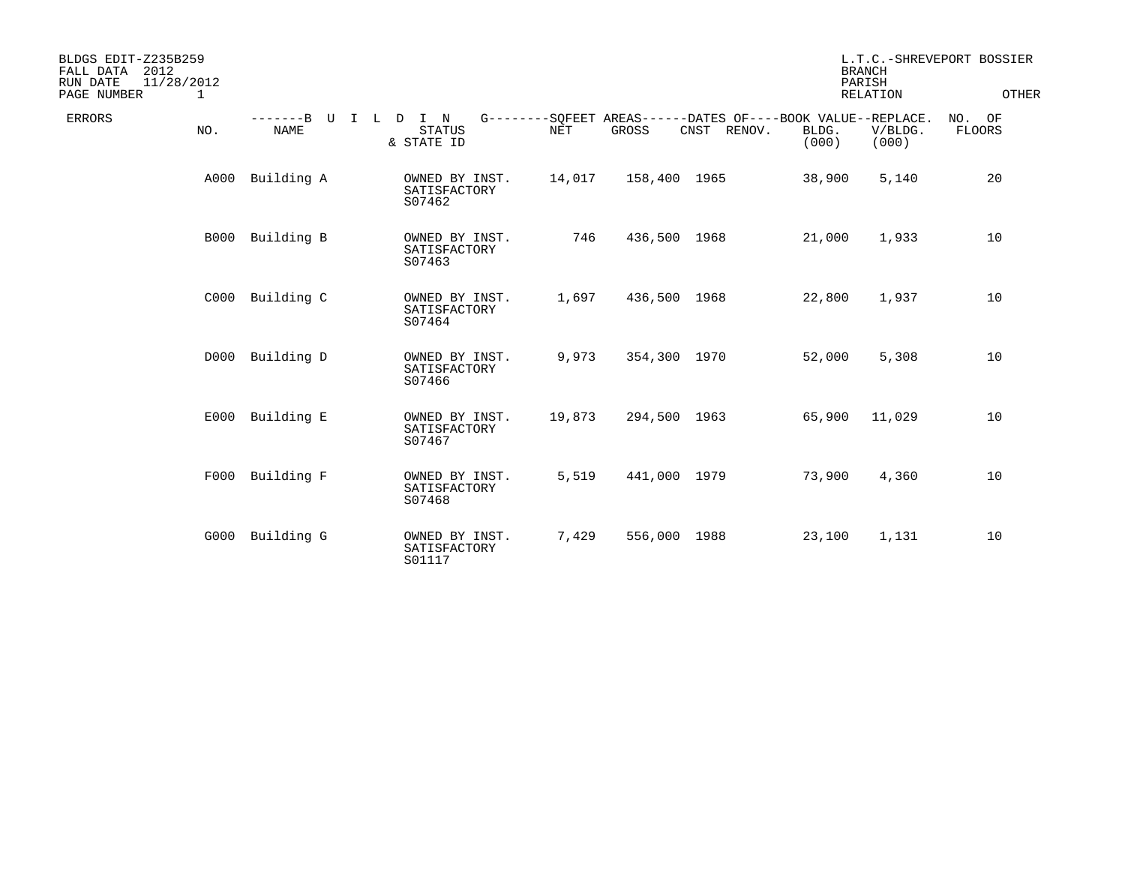| BLDGS EDIT-Z235B259<br>2012<br>FALL DATA<br>11/28/2012<br>RUN DATE<br>PAGE NUMBER<br>1 |                                           |                                          |            |              |                                                                               |                | <b>BRANCH</b><br>PARISH<br><b>RELATION</b> | L.T.C.-SHREVEPORT BOSSIER<br>OTHER |
|----------------------------------------------------------------------------------------|-------------------------------------------|------------------------------------------|------------|--------------|-------------------------------------------------------------------------------|----------------|--------------------------------------------|------------------------------------|
| <b>ERRORS</b><br>NO.                                                                   | -------B U<br>$\mathbb{I}$<br><b>NAME</b> | L D I N<br><b>STATUS</b><br>& STATE ID   | <b>NET</b> | GROSS        | G--------SOFEET AREAS------DATES OF----BOOK VALUE--REPLACE.<br>RENOV.<br>CNST | BLDG.<br>(000) | V/BLDG.<br>(000)                           | NO. OF<br>FLOORS                   |
| A000                                                                                   | Building A                                | OWNED BY INST.<br>SATISFACTORY<br>S07462 | 14,017     | 158,400 1965 |                                                                               | 38,900         | 5,140                                      | 20                                 |
| B000                                                                                   | Building B                                | OWNED BY INST.<br>SATISFACTORY<br>S07463 | 746        | 436,500 1968 |                                                                               | 21,000         | 1,933                                      | 10                                 |
| C000                                                                                   | Building C                                | OWNED BY INST.<br>SATISFACTORY<br>S07464 | 1,697      | 436,500 1968 |                                                                               | 22,800         | 1,937                                      | 10                                 |
| D000                                                                                   | Building D                                | OWNED BY INST.<br>SATISFACTORY<br>S07466 | 9,973      | 354,300 1970 |                                                                               | 52,000         | 5,308                                      | 10                                 |
| E000                                                                                   | Building E                                | OWNED BY INST.<br>SATISFACTORY<br>S07467 | 19,873     | 294,500 1963 |                                                                               | 65,900         | 11,029                                     | 10                                 |
| F000                                                                                   | Building F                                | OWNED BY INST.<br>SATISFACTORY<br>S07468 | 5,519      | 441,000 1979 |                                                                               | 73,900         | 4,360                                      | 10                                 |
| G000                                                                                   | Building G                                | OWNED BY INST.<br>SATISFACTORY<br>S01117 | 7,429      | 556,000 1988 |                                                                               | 23,100         | 1,131                                      | 10                                 |